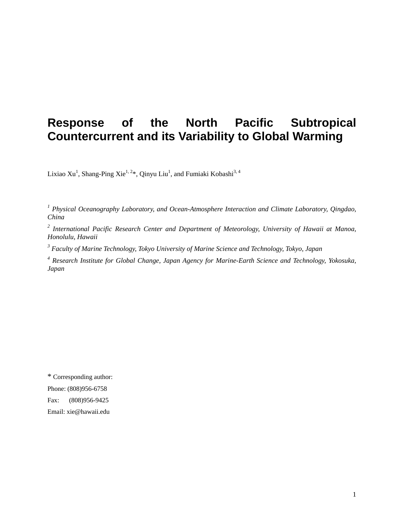# **Response of the North Pacific Subtropical Countercurrent and its Variability to Global Warming**

Lixiao Xu<sup>1</sup>, Shang-Ping Xie<sup>1, 2</sup>\*, Qinyu Liu<sup>1</sup>, and Fumiaki Kobashi<sup>3, 4</sup>

<sup>1</sup> Physical Oceanography Laboratory, and Ocean-Atmosphere Interaction and Climate Laboratory, Qingdao, *China* 

*2 International Pacific Research Center and Department of Meteorology, University of Hawaii at Manoa, Honolulu, Hawaii* 

*3 Faculty of Marine Technology, Tokyo University of Marine Science and Technology, Tokyo, Japan* 

<sup>4</sup> Research Institute for Global Change, Japan Agency for Marine-Earth Science and Technology, Yokosuka, *Japan* 

\* Corresponding author: Phone: (808)956-6758 Fax: (808)956-9425 Email: xie@hawaii.edu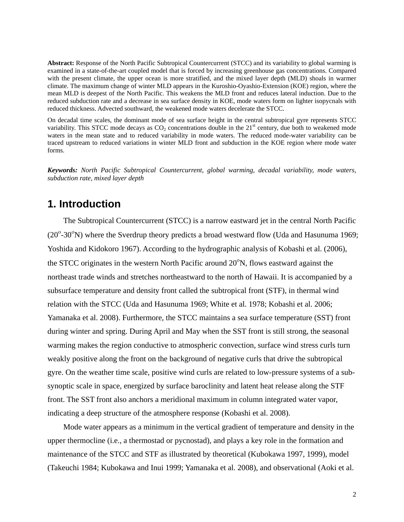**Abstract:** Response of the North Pacific Subtropical Countercurrent (STCC) and its variability to global warming is examined in a state-of-the-art coupled model that is forced by increasing greenhouse gas concentrations. Compared with the present climate, the upper ocean is more stratified, and the mixed layer depth (MLD) shoals in warmer climate. The maximum change of winter MLD appears in the Kuroshio-Oyashio-Extension (KOE) region, where the mean MLD is deepest of the North Pacific. This weakens the MLD front and reduces lateral induction. Due to the reduced subduction rate and a decrease in sea surface density in KOE, mode waters form on lighter isopycnals with reduced thickness. Advected southward, the weakened mode waters decelerate the STCC.

On decadal time scales, the dominant mode of sea surface height in the central subtropical gyre represents STCC variability. This STCC mode decays as  $CO<sub>2</sub>$  concentrations double in the  $21<sup>st</sup>$  century, due both to weakened mode waters in the mean state and to reduced variability in mode waters. The reduced mode-water variability can be traced upstream to reduced variations in winter MLD front and subduction in the KOE region where mode water forms.

*Keywords: North Pacific Subtropical Countercurrent, global warming, decadal variability, mode waters, subduction rate, mixed layer depth* 

## **1. Introduction**

The Subtropical Countercurrent (STCC) is a narrow eastward jet in the central North Pacific  $(20^{\circ} - 30^{\circ} N)$  where the Sverdrup theory predicts a broad westward flow (Uda and Hasunuma 1969; Yoshida and Kidokoro 1967). According to the hydrographic analysis of Kobashi et al. (2006), the STCC originates in the western North Pacific around  $20^{\circ}$ N, flows eastward against the northeast trade winds and stretches northeastward to the north of Hawaii. It is accompanied by a subsurface temperature and density front called the subtropical front (STF), in thermal wind relation with the STCC (Uda and Hasunuma 1969; White et al. 1978; Kobashi et al. 2006; Yamanaka et al. 2008). Furthermore, the STCC maintains a sea surface temperature (SST) front during winter and spring. During April and May when the SST front is still strong, the seasonal warming makes the region conductive to atmospheric convection, surface wind stress curls turn weakly positive along the front on the background of negative curls that drive the subtropical gyre. On the weather time scale, positive wind curls are related to low-pressure systems of a subsynoptic scale in space, energized by surface baroclinity and latent heat release along the STF front. The SST front also anchors a meridional maximum in column integrated water vapor, indicating a deep structure of the atmosphere response (Kobashi et al. 2008).

Mode water appears as a minimum in the vertical gradient of temperature and density in the upper thermocline (i.e., a thermostad or pycnostad), and plays a key role in the formation and maintenance of the STCC and STF as illustrated by theoretical (Kubokawa 1997, 1999), model (Takeuchi 1984; Kubokawa and Inui 1999; Yamanaka et al. 2008), and observational (Aoki et al.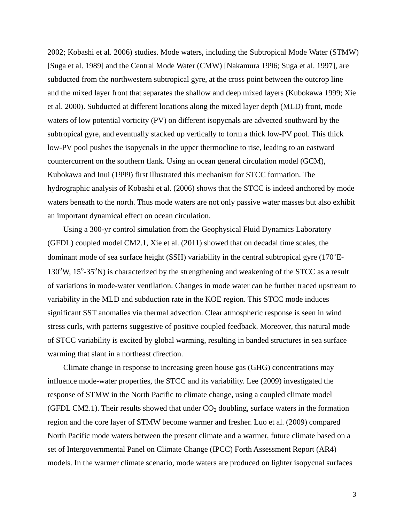2002; Kobashi et al. 2006) studies. Mode waters, including the Subtropical Mode Water (STMW) [Suga et al. 1989] and the Central Mode Water (CMW) [Nakamura 1996; Suga et al. 1997], are subducted from the northwestern subtropical gyre, at the cross point between the outcrop line and the mixed layer front that separates the shallow and deep mixed layers (Kubokawa 1999; Xie et al. 2000). Subducted at different locations along the mixed layer depth (MLD) front, mode waters of low potential vorticity (PV) on different isopycnals are advected southward by the subtropical gyre, and eventually stacked up vertically to form a thick low-PV pool. This thick low-PV pool pushes the isopycnals in the upper thermocline to rise, leading to an eastward countercurrent on the southern flank. Using an ocean general circulation model (GCM), Kubokawa and Inui (1999) first illustrated this mechanism for STCC formation. The hydrographic analysis of Kobashi et al. (2006) shows that the STCC is indeed anchored by mode waters beneath to the north. Thus mode waters are not only passive water masses but also exhibit an important dynamical effect on ocean circulation.

Using a 300-yr control simulation from the Geophysical Fluid Dynamics Laboratory (GFDL) coupled model CM2.1, Xie et al. (2011) showed that on decadal time scales, the dominant mode of sea surface height (SSH) variability in the central subtropical gyre  $(170^{\circ}E -$ 130°W, 15°-35°N) is characterized by the strengthening and weakening of the STCC as a result of variations in mode-water ventilation. Changes in mode water can be further traced upstream to variability in the MLD and subduction rate in the KOE region. This STCC mode induces significant SST anomalies via thermal advection. Clear atmospheric response is seen in wind stress curls, with patterns suggestive of positive coupled feedback. Moreover, this natural mode of STCC variability is excited by global warming, resulting in banded structures in sea surface warming that slant in a northeast direction.

Climate change in response to increasing green house gas (GHG) concentrations may influence mode-water properties, the STCC and its variability. Lee (2009) investigated the response of STMW in the North Pacific to climate change, using a coupled climate model (GFDL CM2.1). Their results showed that under  $CO<sub>2</sub>$  doubling, surface waters in the formation region and the core layer of STMW become warmer and fresher. Luo et al. (2009) compared North Pacific mode waters between the present climate and a warmer, future climate based on a set of Intergovernmental Panel on Climate Change (IPCC) Forth Assessment Report (AR4) models. In the warmer climate scenario, mode waters are produced on lighter isopycnal surfaces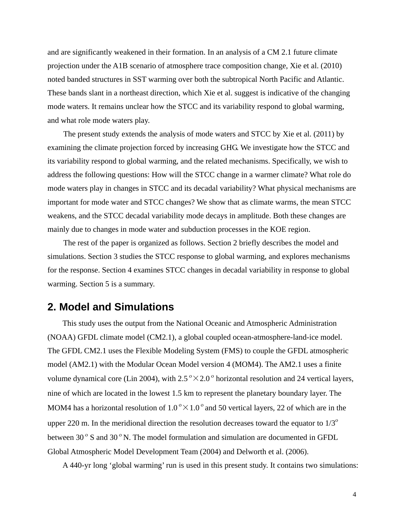and are significantly weakened in their formation. In an analysis of a CM 2.1 future climate projection under the A1B scenario of atmosphere trace composition change, Xie et al. (2010) noted banded structures in SST warming over both the subtropical North Pacific and Atlantic. These bands slant in a northeast direction, which Xie et al. suggest is indicative of the changing mode waters. It remains unclear how the STCC and its variability respond to global warming, and what role mode waters play.

The present study extends the analysis of mode waters and STCC by Xie et al. (2011) by examining the climate projection forced by increasing GHG. We investigate how the STCC and its variability respond to global warming, and the related mechanisms. Specifically, we wish to address the following questions: How will the STCC change in a warmer climate? What role do mode waters play in changes in STCC and its decadal variability? What physical mechanisms are important for mode water and STCC changes? We show that as climate warms, the mean STCC weakens, and the STCC decadal variability mode decays in amplitude. Both these changes are mainly due to changes in mode water and subduction processes in the KOE region.

 The rest of the paper is organized as follows. Section 2 briefly describes the model and simulations. Section 3 studies the STCC response to global warming, and explores mechanisms for the response. Section 4 examines STCC changes in decadal variability in response to global warming. Section 5 is a summary.

### **2. Model and Simulations**

This study uses the output from the National Oceanic and Atmospheric Administration (NOAA) GFDL climate model (CM2.1), a global coupled ocean-atmosphere-land-ice model. The GFDL CM2.1 uses the Flexible Modeling System (FMS) to couple the GFDL atmospheric model (AM2.1) with the Modular Ocean Model version 4 (MOM4). The AM2.1 uses a finite volume dynamical core (Lin 2004), with  $2.5^{\circ} \times 2.0^{\circ}$  horizontal resolution and 24 vertical layers, nine of which are located in the lowest 1.5 km to represent the planetary boundary layer. The MOM4 has a horizontal resolution of  $1.0^{\circ} \times 1.0^{\circ}$  and 50 vertical layers, 22 of which are in the upper 220 m. In the meridional direction the resolution decreases toward the equator to  $1/3^{\circ}$ between 30 $\degree$  S and 30 $\degree$  N. The model formulation and simulation are documented in GFDL Global Atmospheric Model Development Team (2004) and Delworth et al. (2006).

A 440-yr long 'global warming' run is used in this present study. It contains two simulations: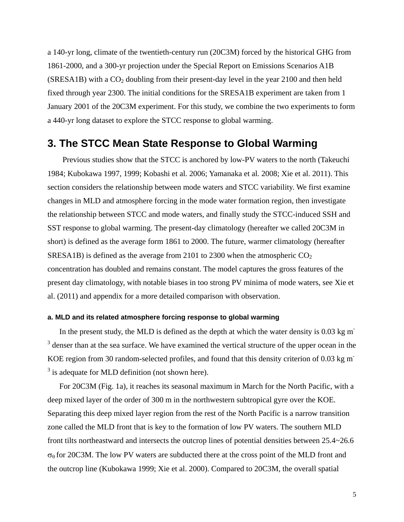a 140-yr long, climate of the twentieth-century run (20C3M) forced by the historical GHG from 1861-2000, and a 300-yr projection under the Special Report on Emissions Scenarios A1B  $(SRESA1B)$  with a  $CO<sub>2</sub>$  doubling from their present-day level in the year 2100 and then held fixed through year 2300. The initial conditions for the SRESA1B experiment are taken from 1 January 2001 of the 20C3M experiment. For this study, we combine the two experiments to form a 440-yr long dataset to explore the STCC response to global warming.

## **3. The STCC Mean State Response to Global Warming**

Previous studies show that the STCC is anchored by low-PV waters to the north (Takeuchi 1984; Kubokawa 1997, 1999; Kobashi et al. 2006; Yamanaka et al. 2008; Xie et al. 2011). This section considers the relationship between mode waters and STCC variability. We first examine changes in MLD and atmosphere forcing in the mode water formation region, then investigate the relationship between STCC and mode waters, and finally study the STCC-induced SSH and SST response to global warming. The present-day climatology (hereafter we called 20C3M in short) is defined as the average form 1861 to 2000. The future, warmer climatology (hereafter SRESA1B) is defined as the average from 2101 to 2300 when the atmospheric  $CO<sub>2</sub>$ concentration has doubled and remains constant. The model captures the gross features of the present day climatology, with notable biases in too strong PV minima of mode waters, see Xie et al. (2011) and appendix for a more detailed comparison with observation.

### **a. MLD and its related atmosphere forcing response to global warming**

In the present study, the MLD is defined as the depth at which the water density is  $0.03 \text{ kg m}$  $3$  denser than at the sea surface. We have examined the vertical structure of the upper ocean in the KOE region from 30 random-selected profiles, and found that this density criterion of 0.03 kg m- $3$  is adequate for MLD definition (not shown here).

For 20C3M (Fig. 1a), it reaches its seasonal maximum in March for the North Pacific, with a deep mixed layer of the order of 300 m in the northwestern subtropical gyre over the KOE. Separating this deep mixed layer region from the rest of the North Pacific is a narrow transition zone called the MLD front that is key to the formation of low PV waters. The southern MLD front tilts northeastward and intersects the outcrop lines of potential densities between 25.4~26.6  $\sigma_\theta$  for 20C3M. The low PV waters are subducted there at the cross point of the MLD front and the outcrop line (Kubokawa 1999; Xie et al. 2000). Compared to 20C3M, the overall spatial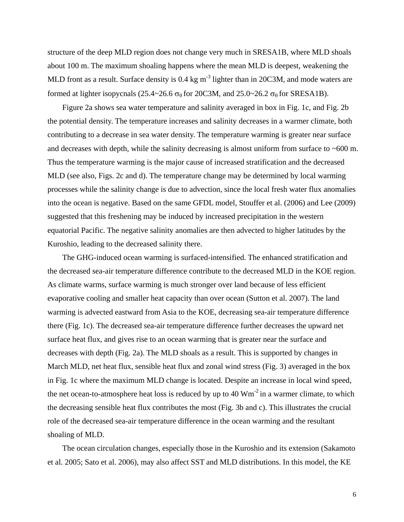structure of the deep MLD region does not change very much in SRESA1B, where MLD shoals about 100 m. The maximum shoaling happens where the mean MLD is deepest, weakening the MLD front as a result. Surface density is 0.4 kg m<sup>-3</sup> lighter than in 20C3M, and mode waters are formed at lighter isopycnals (25.4~26.6  $\sigma_\theta$  for 20C3M, and 25.0~26.2  $\sigma_\theta$  for SRESA1B).

Figure 2a shows sea water temperature and salinity averaged in box in Fig. 1c, and Fig. 2b the potential density. The temperature increases and salinity decreases in a warmer climate, both contributing to a decrease in sea water density. The temperature warming is greater near surface and decreases with depth, while the salinity decreasing is almost uniform from surface to  $~600$  m. Thus the temperature warming is the major cause of increased stratification and the decreased MLD (see also, Figs. 2c and d). The temperature change may be determined by local warming processes while the salinity change is due to advection, since the local fresh water flux anomalies into the ocean is negative. Based on the same GFDL model, Stouffer et al. (2006) and Lee (2009) suggested that this freshening may be induced by increased precipitation in the western equatorial Pacific. The negative salinity anomalies are then advected to higher latitudes by the Kuroshio, leading to the decreased salinity there.

The GHG-induced ocean warming is surfaced-intensified. The enhanced stratification and the decreased sea-air temperature difference contribute to the decreased MLD in the KOE region. As climate warms, surface warming is much stronger over land because of less efficient evaporative cooling and smaller heat capacity than over ocean (Sutton et al. 2007). The land warming is advected eastward from Asia to the KOE, decreasing sea-air temperature difference there (Fig. 1c). The decreased sea-air temperature difference further decreases the upward net surface heat flux, and gives rise to an ocean warming that is greater near the surface and decreases with depth (Fig. 2a). The MLD shoals as a result. This is supported by changes in March MLD, net heat flux, sensible heat flux and zonal wind stress (Fig. 3) averaged in the box in Fig. 1c where the maximum MLD change is located. Despite an increase in local wind speed, the net ocean-to-atmosphere heat loss is reduced by up to  $40 \text{ Wm}^2$  in a warmer climate, to which the decreasing sensible heat flux contributes the most (Fig. 3b and c). This illustrates the crucial role of the decreased sea-air temperature difference in the ocean warming and the resultant shoaling of MLD.

The ocean circulation changes, especially those in the Kuroshio and its extension (Sakamoto et al. 2005; Sato et al. 2006), may also affect SST and MLD distributions. In this model, the KE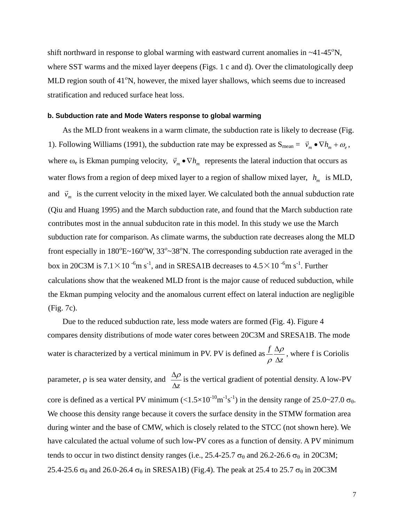shift northward in response to global warming with eastward current anomalies in  $\sim$ 41-45<sup>o</sup>N, where SST warms and the mixed layer deepens (Figs. 1 c and d). Over the climatologically deep MLD region south of 41°N, however, the mixed layer shallows, which seems due to increased stratification and reduced surface heat loss.

### **b. Subduction rate and Mode Waters response to global warming**

As the MLD front weakens in a warm climate, the subduction rate is likely to decrease (Fig. 1). Following Williams (1991), the subduction rate may be expressed as  $S_{mean} = \vec{v}_m \bullet \nabla h_m + \omega_s$ , where  $\omega_e$  is Ekman pumping velocity,  $\vec{v}_m \cdot \nabla h_m$  represents the lateral induction that occurs as water flows from a region of deep mixed layer to a region of shallow mixed layer,  $h_m$  is MLD, and  $\vec{v}_m$  is the current velocity in the mixed layer. We calculated both the annual subduction rate (Qiu and Huang 1995) and the March subduction rate, and found that the March subduction rate contributes most in the annual subduciton rate in this model. In this study we use the March subduction rate for comparison. As climate warms, the subduction rate decreases along the MLD front especially in  $180^{\circ}E \sim 160^{\circ}W$ ,  $33^{\circ} \sim 38^{\circ}N$ . The corresponding subduction rate averaged in the box in 20C3M is  $7.1 \times 10^{-6}$ m s<sup>-1</sup>, and in SRESA1B decreases to  $4.5 \times 10^{-6}$ m s<sup>-1</sup>. Further calculations show that the weakened MLD front is the major cause of reduced subduction, while the Ekman pumping velocity and the anomalous current effect on lateral induction are negligible (Fig. 7c).

Due to the reduced subduction rate, less mode waters are formed (Fig. 4). Figure 4 compares density distributions of mode water cores between 20C3M and SRESA1B. The mode water is characterized by a vertical minimum in PV. PV is defined as *z f* Δ Δ<sup>ρ</sup> ρ , where f is Coriolis parameter,  $\rho$  is sea water density, and  $\frac{\Delta \rho}{\Delta z}$  is the vertical gradient of potential density. A low-PV core is defined as a vertical PV minimum  $\left(\langle 1.5 \times 10^{-10} \text{m}^{-1} \text{s}^{-1} \right)$  in the density range of 25.0~27.0  $\sigma_{\theta}$ . We choose this density range because it covers the surface density in the STMW formation area during winter and the base of CMW, which is closely related to the STCC (not shown here). We have calculated the actual volume of such low-PV cores as a function of density. A PV minimum tends to occur in two distinct density ranges (i.e., 25.4-25.7  $\sigma_{\theta}$  and 26.2-26.6  $\sigma_{\theta}$  in 20C3M; 25.4-25.6  $\sigma_\theta$  and 26.0-26.4  $\sigma_\theta$  in SRESA1B) (Fig.4). The peak at 25.4 to 25.7  $\sigma_\theta$  in 20C3M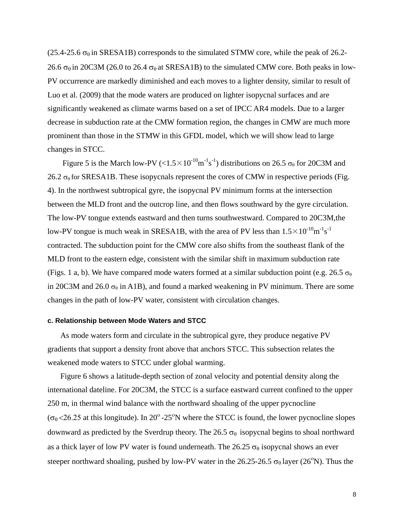(25.4-25.6  $\sigma_{\theta}$  in SRESA1B) corresponds to the simulated STMW core, while the peak of 26.2-26.6  $\sigma_{\theta}$  in 20C3M (26.0 to 26.4  $\sigma_{\theta}$  at SRESA1B) to the simulated CMW core. Both peaks in low-PV occurrence are markedly diminished and each moves to a lighter density, similar to result of Luo et al. (2009) that the mode waters are produced on lighter isopycnal surfaces and are significantly weakened as climate warms based on a set of IPCC AR4 models. Due to a larger decrease in subduction rate at the CMW formation region, the changes in CMW are much more prominent than those in the STMW in this GFDL model, which we will show lead to large changes in STCC.

Figure 5 is the March low-PV ( $\langle 1.5 \times 10^{-10} \text{m}^{-1} \text{s}^{-1}$ ) distributions on 26.5  $\sigma_\theta$  for 20C3M and 26.2  $\sigma_\theta$  for SRESA1B. These isopycnals represent the cores of CMW in respective periods (Fig. 4). In the northwest subtropical gyre, the isopycnal PV minimum forms at the intersection between the MLD front and the outcrop line, and then flows southward by the gyre circulation. The low-PV tongue extends eastward and then turns southwestward. Compared to 20C3M,the low-PV tongue is much weak in SRESA1B, with the area of PV less than  $1.5 \times 10^{-10}$ m<sup>-1</sup>s<sup>-1</sup> contracted. The subduction point for the CMW core also shifts from the southeast flank of the MLD front to the eastern edge, consistent with the similar shift in maximum subduction rate (Figs. 1 a, b). We have compared mode waters formed at a similar subduction point (e.g. 26.5  $\sigma_{\theta}$ ) in 20C3M and 26.0  $\sigma_{\theta}$  in A1B), and found a marked weakening in PV minimum. There are some changes in the path of low-PV water, consistent with circulation changes.

#### **c. Relationship between Mode Waters and STCC**

As mode waters form and circulate in the subtropical gyre, they produce negative PV gradients that support a density front above that anchors STCC. This subsection relates the weakened mode waters to STCC under global warming.

Figure 6 shows a latitude-depth section of zonal velocity and potential density along the international dateline. For 20C3M, the STCC is a surface eastward current confined to the upper 250 m, in thermal wind balance with the northward shoaling of the upper pycnocline  $(\sigma_0 < 26.25$  at this longitude). In 20<sup>°</sup>-25<sup>°</sup>N where the STCC is found, the lower pycnocline slopes downward as predicted by the Sverdrup theory. The 26.5  $\sigma_{\theta}$  isopycnal begins to shoal northward as a thick layer of low PV water is found underneath. The 26.25  $\sigma_{\theta}$  isopycnal shows an ever steeper northward shoaling, pushed by low-PV water in the 26.25-26.5  $\sigma_{\theta}$  layer (26<sup>o</sup>N). Thus the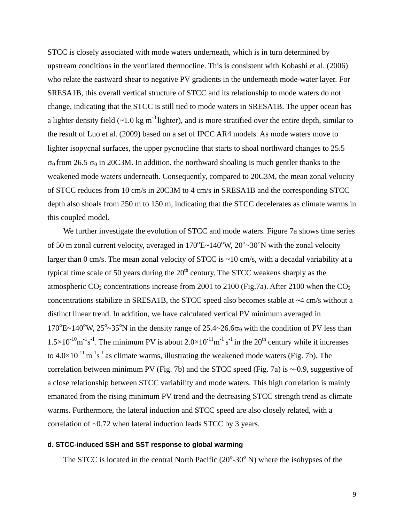STCC is closely associated with mode waters underneath, which is in turn determined by upstream conditions in the ventilated thermocline. This is consistent with Kobashi et al. (2006) who relate the eastward shear to negative PV gradients in the underneath mode-water layer. For SRESA1B, this overall vertical structure of STCC and its relationship to mode waters do not change, indicating that the STCC is still tied to mode waters in SRESA1B. The upper ocean has a lighter density field  $(-1.0 \text{ kg m}^3)$  lighter), and is more stratified over the entire depth, similar to the result of Luo et al. (2009) based on a set of IPCC AR4 models. As mode waters move to lighter isopycnal surfaces, the upper pycnocline that starts to shoal northward changes to 25.5  $σ<sub>θ</sub>$  from 26.5  $σ<sub>θ</sub>$  in 20C3M. In addition, the northward shoaling is much gentler thanks to the weakened mode waters underneath. Consequently, compared to 20C3M, the mean zonal velocity of STCC reduces from 10 cm/s in 20C3M to 4 cm/s in SRESA1B and the corresponding STCC depth also shoals from 250 m to 150 m, indicating that the STCC decelerates as climate warms in this coupled model.

We further investigate the evolution of STCC and mode waters. Figure 7a shows time series of 50 m zonal current velocity, averaged in  $170^{\circ}E \sim 140^{\circ}W$ ,  $20^{\circ} \sim 30^{\circ}N$  with the zonal velocity larger than 0 cm/s. The mean zonal velocity of STCC is ~10 cm/s, with a decadal variability at a typical time scale of 50 years during the  $20<sup>th</sup>$  century. The STCC weakens sharply as the atmospheric  $CO_2$  concentrations increase from 2001 to 2100 (Fig.7a). After 2100 when the  $CO_2$ concentrations stabilize in SRESA1B, the STCC speed also becomes stable at ~4 cm/s without a distinct linear trend. In addition, we have calculated vertical PV minimum averaged in 170<sup>°</sup>E~140<sup>°</sup>W, 25<sup>°</sup>~35<sup>°</sup>N in the density range of 25.4~26.6 $\sigma_{\theta}$  with the condition of PV less than  $1.5 \times 10^{-10}$ m<sup>-1</sup>s<sup>-1</sup>. The minimum PV is about  $2.0 \times 10^{-11}$ m<sup>-1</sup> s<sup>-1</sup> in the 20<sup>th</sup> century while it increases to  $4.0\times10^{-11}$  m<sup>-1</sup>s<sup>-1</sup> as climate warms, illustrating the weakened mode waters (Fig. 7b). The correlation between minimum PV (Fig. 7b) and the STCC speed (Fig. 7a) is  $\sim$ -0.9, suggestive of a close relationship between STCC variability and mode waters. This high correlation is mainly emanated from the rising minimum PV trend and the decreasing STCC strength trend as climate warms. Furthermore, the lateral induction and STCC speed are also closely related, with a correlation of ~0.72 when lateral induction leads STCC by 3 years.

### **d. STCC-induced SSH and SST response to global warming**

The STCC is located in the central North Pacific  $(20^{\circ} - 30^{\circ} \text{ N})$  where the isohypses of the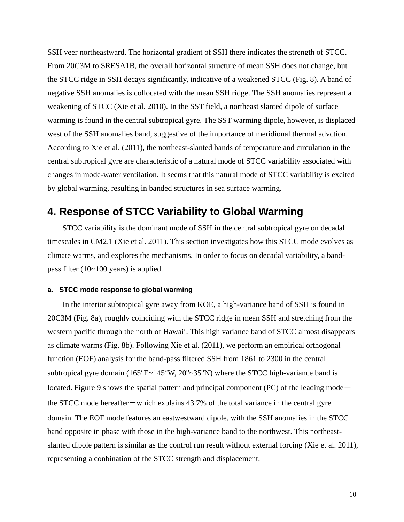SSH veer northeastward. The horizontal gradient of SSH there indicates the strength of STCC. From 20C3M to SRESA1B, the overall horizontal structure of mean SSH does not change, but the STCC ridge in SSH decays significantly, indicative of a weakened STCC (Fig. 8). A band of negative SSH anomalies is collocated with the mean SSH ridge. The SSH anomalies represent a weakening of STCC (Xie et al. 2010). In the SST field, a northeast slanted dipole of surface warming is found in the central subtropical gyre. The SST warming dipole, however, is displaced west of the SSH anomalies band, suggestive of the importance of meridional thermal advction. According to Xie et al. (2011), the northeast-slanted bands of temperature and circulation in the central subtropical gyre are characteristic of a natural mode of STCC variability associated with changes in mode-water ventilation. It seems that this natural mode of STCC variability is excited by global warming, resulting in banded structures in sea surface warming.

### **4. Response of STCC Variability to Global Warming**

STCC variability is the dominant mode of SSH in the central subtropical gyre on decadal timescales in CM2.1 (Xie et al. 2011). This section investigates how this STCC mode evolves as climate warms, and explores the mechanisms. In order to focus on decadal variability, a bandpass filter (10~100 years) is applied.

### **a. STCC mode response to global warming**

In the interior subtropical gyre away from KOE, a high-variance band of SSH is found in 20C3M (Fig. 8a), roughly coinciding with the STCC ridge in mean SSH and stretching from the western pacific through the north of Hawaii. This high variance band of STCC almost disappears as climate warms (Fig. 8b). Following Xie et al. (2011), we perform an empirical orthogonal function (EOF) analysis for the band-pass filtered SSH from 1861 to 2300 in the central subtropical gyre domain ( $165^{\circ}E \sim 145^{\circ}W$ ,  $20^{\circ} \sim 35^{\circ}N$ ) where the STCC high-variance band is located. Figure 9 shows the spatial pattern and principal component (PC) of the leading mode $$ the STCC mode hereafter — which explains  $43.7\%$  of the total variance in the central gyre domain. The EOF mode features an eastwestward dipole, with the SSH anomalies in the STCC band opposite in phase with those in the high-variance band to the northwest. This northeastslanted dipole pattern is similar as the control run result without external forcing (Xie et al. 2011), representing a conbination of the STCC strength and displacement.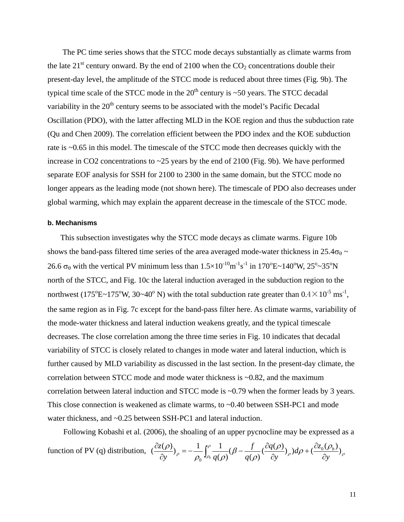The PC time series shows that the STCC mode decays substantially as climate warms from the late  $21<sup>st</sup>$  century onward. By the end of 2100 when the CO<sub>2</sub> concentrations double their present-day level, the amplitude of the STCC mode is reduced about three times (Fig. 9b). The typical time scale of the STCC mode in the  $20<sup>th</sup>$  century is ~50 years. The STCC decadal variability in the  $20<sup>th</sup>$  century seems to be associated with the model's Pacific Decadal Oscillation (PDO), with the latter affecting MLD in the KOE region and thus the subduction rate (Qu and Chen 2009). The correlation efficient between the PDO index and the KOE subduction rate is ~0.65 in this model. The timescale of the STCC mode then decreases quickly with the increase in CO2 concentrations to ~25 years by the end of 2100 (Fig. 9b). We have performed separate EOF analysis for SSH for 2100 to 2300 in the same domain, but the STCC mode no longer appears as the leading mode (not shown here). The timescale of PDO also decreases under global warming, which may explain the apparent decrease in the timescale of the STCC mode.

#### **b. Mechanisms**

This subsection investigates why the STCC mode decays as climate warms. Figure 10b shows the band-pass filtered time series of the area averaged mode-water thickness in 25.4 $\sigma_{\theta}$  ~ 26.6  $\sigma_{\theta}$  with the vertical PV minimum less than  $1.5 \times 10^{-10} \text{m}^{-1} \text{s}^{-1}$  in  $170^{\circ} \text{E} \sim 140^{\circ} \text{W}$ ,  $25^{\circ} \sim 35^{\circ} \text{N}$ north of the STCC, and Fig. 10c the lateral induction averaged in the subduction region to the northwest (175<sup>o</sup>E~175<sup>o</sup>W, 30~40<sup>o</sup>N) with the total subduction rate greater than  $0.4 \times 10^{-5}$  ms<sup>-1</sup>, the same region as in Fig. 7c except for the band-pass filter here. As climate warms, variability of the mode-water thickness and lateral induction weakens greatly, and the typical timescale decreases. The close correlation among the three time series in Fig. 10 indicates that decadal variability of STCC is closely related to changes in mode water and lateral induction, which is further caused by MLD variability as discussed in the last section. In the present-day climate, the correlation between STCC mode and mode water thickness is  $\sim 0.82$ , and the maximum correlation between lateral induction and STCC mode is ~0.79 when the former leads by 3 years. This close connection is weakened as climate warms, to ~0.40 between SSH-PC1 and mode water thickness, and ~0.25 between SSH-PC1 and lateral induction.

Following Kobashi et al. (2006), the shoaling of an upper pycnocline may be expressed as a function of PV (q) distribution,  $\left(\frac{cz(\rho)}{z_0}\right)_\rho = -\frac{1}{z_0} \int_0^{\rho} \frac{1}{z(\rho)} (\rho - \frac{J}{z(\rho)} \left(\frac{cq(\rho)}{z_0}\right)_\rho) d\rho + \left(\frac{cz_0(\rho_b)}{z_0}\right)_\rho$  $\rho = -\frac{1}{\rho_{\rm c}} \int_{\rho_{\rm b}}^{\rho} \frac{1}{a(\rho)} (\beta - \frac{f}{a(\rho)} (\frac{\partial q(\rho)}{\partial y})_{\rho}) d\rho + (\frac{\partial z_0(\rho_{\rm c})}{\partial y})$ ρ β  $\left(\frac{\partial z(\rho)}{\partial y}\right)_{\rho} = -\frac{1}{\rho_0} \int_{\rho_b}^{\rho} \frac{1}{q(\rho)} (\beta - \frac{f}{q(\rho)} \left(\frac{\partial q(\rho)}{\partial y}\right)_{\rho}) d\rho + \left(\frac{\partial z_0(\rho_b)}{\partial y}\right)$  $q(\rho)$   $\partial_y$   $q(\rho)$   $\partial_y$   $\partial_y$   $\partial_y$   $\partial_y$  $d\rho + (\frac{\partial z}{\partial x})$ *y q q f*  $y \quad p \quad \rho_0 \rightarrow p_b q$  $\zeta(\rho)$   $\frac{1}{\rho} \int_{0}^{\rho} \frac{1}{\rho} \frac{1}{\rho} \int_{0}^{B} \frac{\partial q(\rho)}{\partial q} d\rho + \int_{0}^{\rho} \frac{\partial z_{0}(\rho)}{\partial q} d\rho$ *<sup>b</sup>* ∂  $+\left(\frac{\partial}{\partial x}\right)$  $\frac{\partial z(\rho)}{\partial y}$ <sub>)</sub><sub>ρ</sub> =  $-\frac{1}{\rho_0} \int_{\rho_b}^{\rho} \frac{1}{q(\rho)} (\beta - \frac{f}{q(\rho)} (\frac{\partial q(\rho)}{\partial \rho})$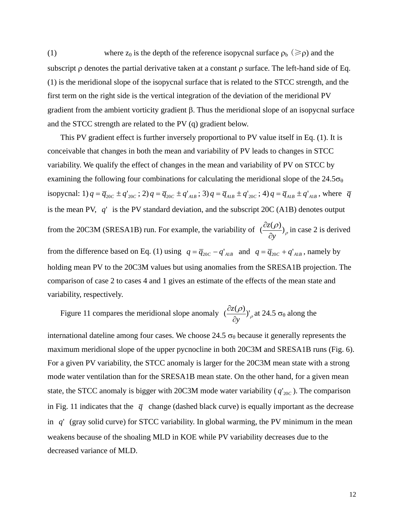(1) where  $z_0$  is the depth of the reference isopycnal surface  $\rho_b$  ( $\geq \rho$ ) and the subscript  $\rho$  denotes the partial derivative taken at a constant  $\rho$  surface. The left-hand side of Eq. (1) is the meridional slope of the isopycnal surface that is related to the STCC strength, and the first term on the right side is the vertical integration of the deviation of the meridional PV gradient from the ambient vorticity gradient β. Thus the meridional slope of an isopycnal surface and the STCC strength are related to the PV (q) gradient below.

This PV gradient effect is further inversely proportional to PV value itself in Eq. (1). It is conceivable that changes in both the mean and variability of PV leads to changes in STCC variability. We qualify the effect of changes in the mean and variability of PV on STCC by examining the following four combinations for calculating the meridional slope of the  $24.5\sigma_{\theta}$ isopycnal: 1)  $q = \overline{q}_{20C} \pm q'_{20C}$ ; 2)  $q = \overline{q}_{20C} \pm q'_{AB}$ ; 3)  $q = \overline{q}_{AB} \pm q'_{20C}$ ; 4)  $q = \overline{q}_{AB} \pm q'_{AB}$ , where  $\overline{q}$ is the mean PV, *q*' is the PV standard deviation, and the subscript 20C (A1B) denotes output from the 20C3M (SRESA1B) run. For example, the variability of  $\left(\frac{\partial z(\rho)}{\partial q}\right)_{\rho}$ *y z* ∂  $\frac{\partial z(\rho)}{\partial z}$ , in case 2 is derived from the difference based on Eq. (1) using  $q = \overline{q}_{20C} - q'_{AB}$  and  $q = \overline{q}_{20C} + q'_{AB}$ , namely by holding mean PV to the 20C3M values but using anomalies from the SRESA1B projection. The comparison of case 2 to cases 4 and 1 gives an estimate of the effects of the mean state and variability, respectively.

Figure 11 compares the meridional slope anomaly  $\left(\frac{\partial z(\rho)}{\partial y}\right)^{1}_{\rho}$ *y z* ∂  $\frac{\partial z(\rho)}{\partial}$ <sub>*c*</sub> at 24.5  $\sigma_{\theta}$  along the

international dateline among four cases. We choose 24.5  $\sigma_\theta$  because it generally represents the maximum meridional slope of the upper pycnocline in both 20C3M and SRESA1B runs (Fig. 6). For a given PV variability, the STCC anomaly is larger for the 20C3M mean state with a strong mode water ventilation than for the SRESA1B mean state. On the other hand, for a given mean state, the STCC anomaly is bigger with 20C3M mode water variability ( $q'_{20C}$ ). The comparison in Fig. 11 indicates that the  $\bar{q}$  change (dashed black curve) is equally important as the decrease in *q*' (gray solid curve) for STCC variability. In global warming, the PV minimum in the mean weakens because of the shoaling MLD in KOE while PV variability decreases due to the decreased variance of MLD.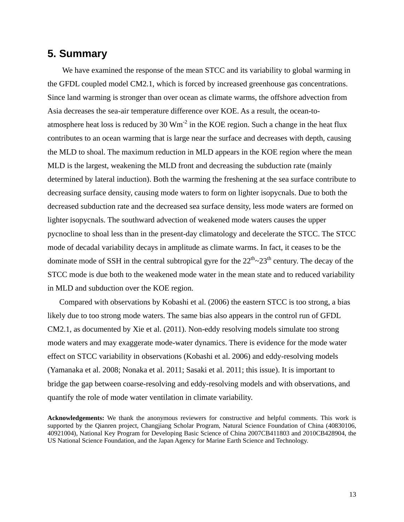### **5. Summary**

We have examined the response of the mean STCC and its variability to global warming in the GFDL coupled model CM2.1, which is forced by increased greenhouse gas concentrations. Since land warming is stronger than over ocean as climate warms, the offshore advection from Asia decreases the sea-air temperature difference over KOE. As a result, the ocean-toatmosphere heat loss is reduced by 30  $Wm<sup>-2</sup>$  in the KOE region. Such a change in the heat flux contributes to an ocean warming that is large near the surface and decreases with depth, causing the MLD to shoal. The maximum reduction in MLD appears in the KOE region where the mean MLD is the largest, weakening the MLD front and decreasing the subduction rate (mainly determined by lateral induction). Both the warming the freshening at the sea surface contribute to decreasing surface density, causing mode waters to form on lighter isopycnals. Due to both the decreased subduction rate and the decreased sea surface density, less mode waters are formed on lighter isopycnals. The southward advection of weakened mode waters causes the upper pycnocline to shoal less than in the present-day climatology and decelerate the STCC. The STCC mode of decadal variability decays in amplitude as climate warms. In fact, it ceases to be the dominate mode of SSH in the central subtropical gyre for the  $22<sup>th</sup> \sim 23<sup>th</sup>$  century. The decay of the STCC mode is due both to the weakened mode water in the mean state and to reduced variability in MLD and subduction over the KOE region.

Compared with observations by Kobashi et al. (2006) the eastern STCC is too strong, a bias likely due to too strong mode waters. The same bias also appears in the control run of GFDL CM2.1, as documented by Xie et al. (2011). Non-eddy resolving models simulate too strong mode waters and may exaggerate mode-water dynamics. There is evidence for the mode water effect on STCC variability in observations (Kobashi et al. 2006) and eddy-resolving models (Yamanaka et al. 2008; Nonaka et al. 2011; Sasaki et al. 2011; this issue). It is important to bridge the gap between coarse-resolving and eddy-resolving models and with observations, and quantify the role of mode water ventilation in climate variability.

**Acknowledgements:** We thank the anonymous reviewers for constructive and helpful comments. This work is supported by the Qianren project, Changjiang Scholar Program, Natural Science Foundation of China (40830106, 40921004), National Key Program for Developing Basic Science of China 2007CB411803 and 2010CB428904, the US National Science Foundation, and the Japan Agency for Marine Earth Science and Technology.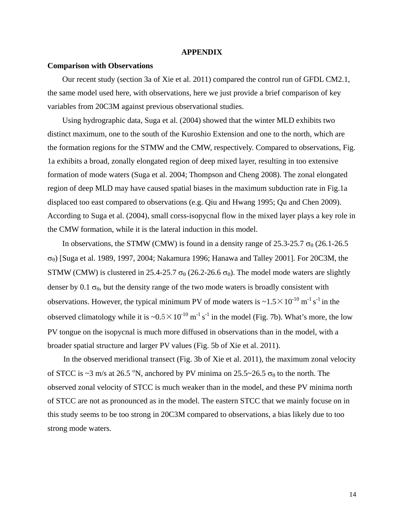#### **APPENDIX**

#### **Comparison with Observations**

Our recent study (section 3a of Xie et al. 2011) compared the control run of GFDL CM2.1, the same model used here, with observations, here we just provide a brief comparison of key variables from 20C3M against previous observational studies.

Using hydrographic data, Suga et al. (2004) showed that the winter MLD exhibits two distinct maximum, one to the south of the Kuroshio Extension and one to the north, which are the formation regions for the STMW and the CMW, respectively. Compared to observations, Fig. 1a exhibits a broad, zonally elongated region of deep mixed layer, resulting in too extensive formation of mode waters (Suga et al. 2004; Thompson and Cheng 2008). The zonal elongated region of deep MLD may have caused spatial biases in the maximum subduction rate in Fig.1a displaced too east compared to observations (e.g. Qiu and Hwang 1995; Qu and Chen 2009). According to Suga et al. (2004), small corss-isopycnal flow in the mixed layer plays a key role in the CMW formation, while it is the lateral induction in this model.

In observations, the STMW (CMW) is found in a density range of 25.3-25.7  $\sigma_{\theta}$  (26.1-26.5) σθ) [Suga et al. 1989, 1997, 2004; Nakamura 1996; Hanawa and Talley 2001]. For 20C3M, the STMW (CMW) is clustered in 25.4-25.7  $\sigma_{\theta}$  (26.2-26.6  $\sigma_{\theta}$ ). The model mode waters are slightly denser by 0.1  $\sigma_{\theta}$ , but the density range of the two mode waters is broadly consistent with observations. However, the typical minimum PV of mode waters is  $\sim 1.5 \times 10^{-10}$  m<sup>-1</sup> s<sup>-1</sup> in the observed climatology while it is  $\sim 0.5 \times 10^{-10}$  m<sup>-1</sup> s<sup>-1</sup> in the model (Fig. 7b). What's more, the low PV tongue on the isopycnal is much more diffused in observations than in the model, with a broader spatial structure and larger PV values (Fig. 5b of Xie et al. 2011).

In the observed meridional transect (Fig. 3b of Xie et al. 2011), the maximum zonal velocity of STCC is ~3 m/s at 26.5 °N, anchored by PV minima on  $25.5 \sim 26.5 \sigma_\theta$  to the north. The observed zonal velocity of STCC is much weaker than in the model, and these PV minima north of STCC are not as pronounced as in the model. The eastern STCC that we mainly focuse on in this study seems to be too strong in 20C3M compared to observations, a bias likely due to too strong mode waters.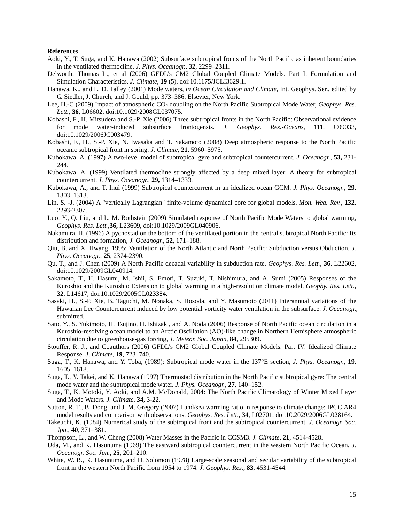#### **References**

- Aoki, Y., T. Suga, and K. Hanawa (2002) Subsurface subtropical fronts of the North Pacific as inherent boundaries in the ventilated thermocline. *J. Phys. Oceanogr.*, **32**, 2299–2311.
- Delworth, Thomas L., et al (2006) GFDL's CM2 Global Coupled Climate Models. Part I: Formulation and Simulation Characteristics. *J. Climate*, **19** (5), doi:10.1175/JCLI3629.1.
- Hanawa, K., and L. D. Talley (2001) Mode waters, *in Ocean Circulation and Climate*, Int. Geophys. Ser., edited by G. Siedler, J. Church, and J. Gould, pp. 373–386, Elsevier, New York.
- Lee, H.-C (2009) Impact of atmospheric CO<sub>2</sub> doubling on the North Pacific Subtropical Mode Water, *Geophys. Res. Lett.*, **36**, L06602, doi:10.1029/2008GL037075.
- Kobashi, F., H. Mitsudera and S.-P. Xie (2006) Three subtropical fronts in the North Pacific: Observational evidence for mode water-induced subsurface frontogensis. *J. Geophys. Res.-Oceans*, **111**, C09033, doi:10.1029/2006JC003479.
- Kobashi, F., H., S.-P. Xie, N. Iwasaka and T. Sakamoto (2008) Deep atmospheric response to the North Pacific oceanic subtropical front in spring. *J. Climate*, **21**, 5960–5975.
- Kubokawa, A. (1997) A two-level model of subtropical gyre and subtropical countercurrent. *J. Oceanogr.,* **53,** 231- 244.
- Kubokawa, A. (1999) Ventilated thermocline strongly affected by a deep mixed layer: A theory for subtropical countercurrent. *J. Phys. Oceanogr.,* **29,** 1314–1333.
- Kubokawa, A., and T. Inui (1999) Subtropical countercurrent in an idealized ocean GCM. *J. Phys. Oceanogr.,* **29,** 1303–1313.
- Lin, S. -J. (2004) A "vertically Lagrangian" finite-volume dynamical core for global models. *Mon. Wea. Rev.,* **132**, 2293-2307.
- Luo, Y., Q. Liu, and L. M. Rothstein (2009) Simulated response of North Pacific Mode Waters to global warming, *Geophys. Res. Lett.,***36,** L23609, doi:10.1029/2009GL040906.
- Nakamura, H. (1996) A pycnostad on the bottom of the ventilated portion in the central subtropical North Pacific: Its distribution and formation, *J. Oceanogr.*, **52**, 171–188.
- Qiu, B. and X. Hwang, 1995: Ventilation of the North Atlantic and North Pacific: Subduction versus Obduction. *J. Phys. Oceanogr.*, **25**, 2374-2390.
- Qu, T., and J. Chen (2009) A North Pacific decadal variability in subduction rate. *Geophys. Res. Lett.*, **36**, L22602, doi:10.1029/2009GL040914.
- Sakamoto, T., H. Hasumi, M. Ishii, S. Emori, T. Suzuki, T. Nishimura, and A. Sumi (2005) Responses of the Kuroshio and the Kuroshio Extension to global warming in a high-resolution climate model, *Geophy. Res. Lett.*, **32**, L14617, doi:10.1029/2005GL023384.
- Sasaki, H., S.-P. Xie, B. Taguchi, M. Nonaka, S. Hosoda, and Y. Masumoto (2011) Interannual variations of the Hawaiian Lee Countercurrent induced by low potential vorticity water ventilation in the subsurface. *J. Oceanogr.*, submitted.
- Sato, Y., S. Yukimoto, H. Tsujino, H. Ishizaki, and A. Noda (2006) Response of North Pacific ocean circulation in a Kuroshio-resolving ocean model to an Arctic Oscillation (AO)-like change in Northern Hemisphere atmospheric circulation due to greenhouse-gas forcing, *J. Meteor. Soc. Japan,* **84**, 295309.
- Stouffer, R. J., and Coauthors (2006) GFDL's CM2 Global Coupled Climate Models. Part IV: Idealized Climate Response. *J. Climate*, **19**, 723–740.
- Suga, T., K. Hanawa, and Y. Toba, (1989): Subtropical mode water in the 137°E section, *J. Phys. Oceanogr.*, **19**, 1605–1618.
- Suga, T., Y. Takei, and K. Hanawa (1997) Thermostad distribution in the North Pacific subtropical gyre: The central mode water and the subtropical mode water. *J. Phys. Oceanogr.,* **27,** 140–152.
- Suga, T., K. Motoki, Y. Aoki, and A.M. McDonald, 2004: The North Pacific Climatology of Winter Mixed Layer and Mode Waters. *J. Climate*, **34**, 3-22.
- Sutton, R. T., B. Dong, and J. M. Gregory (2007) Land/sea warming ratio in response to climate change: IPCC AR4 model results and comparison with observations. *Geophys. Res. Lett.,* **34**, L02701, doi:10.2029/2006GL028164.
- Takeuchi, K. (1984) Numerical study of the subtropical front and the subtropical countercurrent. *J. Oceanogr. Soc. Jpn.*, **40**, 371–381.
- Thompson, L., and W. Cheng (2008) Water Masses in the Pacific in CCSM3. *J. Climate*, **21**, 4514-4528.
- Uda, M., and K. Hasunuma (1969) The eastward subtropical countercurrent in the western North Pacific Ocean, *J. Oceanogr. Soc. Jpn.*, **25**, 201–210.
- White, W. B., K. Hasunuma, and H. Solomon (1978) Large-scale seasonal and secular variability of the subtropical front in the western North Pacific from 1954 to 1974. *J. Geophys. Res.*, **83**, 4531-4544.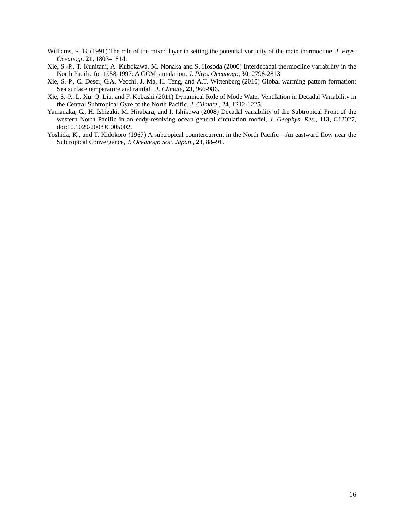- Williams, R. G. (1991) The role of the mixed layer in setting the potential vorticity of the main thermocline. *J. Phys. Oceanogr.,***21,** 1803–1814.
- Xie, S.-P., T. Kunitani, A. Kubokawa, M. Nonaka and S. Hosoda (2000) Interdecadal thermocline variability in the North Pacific for 1958-1997: A GCM simulation. *J. Phys. Oceanogr.*, **30**, 2798-2813.
- Xie, S.-P., C. Deser, G.A. Vecchi, J. Ma, H. Teng, and A.T. Wittenberg (2010) Global warming pattern formation: Sea surface temperature and rainfall. *J. Climate*, **23**, 966-986.
- Xie, S.-P., L. Xu, Q. Liu, and F. Kobashi (2011) Dynamical Role of Mode Water Ventilation in Decadal Variability in the Central Subtropical Gyre of the North Pacific. *J. Climate*., **24**, 1212-1225.
- Yamanaka, G., H. Ishizaki, M. Hirabara, and I. Ishikawa (2008) Decadal variability of the Subtropical Front of the western North Pacific in an eddy-resolving ocean general circulation model, *J. Geophys. Res.*, **113**, C12027, doi:10.1029/2008JC005002.
- Yoshida, K., and T. Kidokoro (1967) A subtropical countercurrent in the North Pacific—An eastward flow near the Subtropical Convergence, *J. Oceanogr. Soc. Japan*., **23**, 88–91.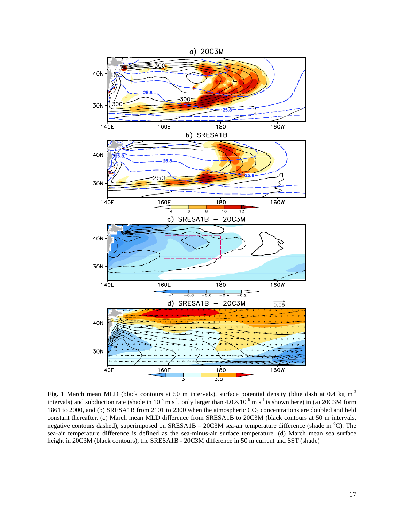

Fig. 1 March mean MLD (black contours at 50 m intervals), surface potential density (blue dash at 0.4 kg m<sup>-3</sup> intervals) and subduction rate (shade in  $10^{-6}$  m s<sup>-1</sup>, only larger than  $4.0 \times 10^{-6}$  m s<sup>-1</sup> is shown here) in (a) 20C3M form 1861 to 2000, and (b) SRESA1B from 2101 to 2300 when the atmospheric  $CO_2$  concentrations are doubled and held constant thereafter. (c) March mean MLD difference from SRESA1B to 20C3M (black contours at 50 m intervals, negative contours dashed), superimposed on SRESA1B – 20C3M sea-air temperature difference (shade in <sup>o</sup>C). The sea-air temperature difference is defined as the sea-minus-air surface temperature. (d) March mean sea surface height in 20C3M (black contours), the SRESA1B - 20C3M difference in 50 m current and SST (shade)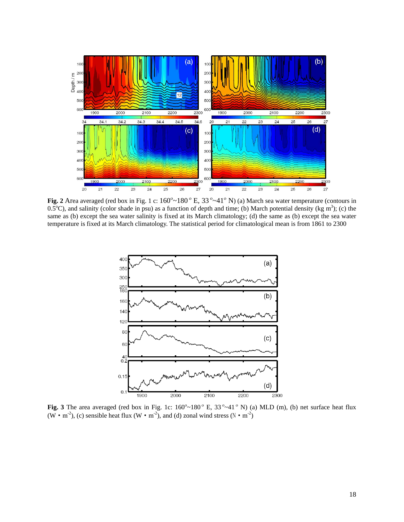

**Fig. 2** Area averaged (red box in Fig. 1 c:  $160^{\circ} \sim 180^{\circ}$  E,  $33^{\circ} \sim 41^{\circ}$  N) (a) March sea water temperature (contours in  $0.5^{\circ}$ C), and salinity (color shade in psu) as a function of depth and time; (b) March potential density (kg m<sup>3</sup>); (c) the same as (b) except the sea water salinity is fixed at its March climatology; (d) the same as (b) except the sea water temperature is fixed at its March climatology. The statistical period for climatological mean is from 1861 to 2300



**Fig. 3** The area averaged (red box in Fig. 1c:  $160^{\circ} \sim 180^{\circ}$  E,  $33^{\circ} \sim 41^{\circ}$  N) (a) MLD (m), (b) net surface heat flux (W • m<sup>-2</sup>), (c) sensible heat flux (W • m<sup>-2</sup>), and (d) zonal wind stress (N • m<sup>-2</sup>)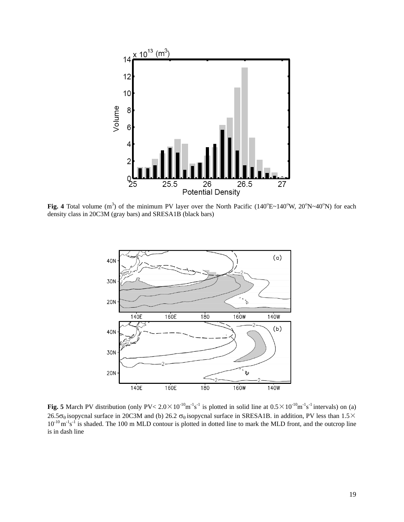

**Fig. 4** Total volume  $(m^3)$  of the minimum PV layer over the North Pacific (140°E~140°W, 20°N~40°N) for each density class in 20C3M (gray bars) and SRESA1B (black bars)



**Fig. 5** March PV distribution (only  $PV < 2.0 \times 10^{-10}$ m<sup>-1</sup>s<sup>-1</sup> is plotted in solid line at  $0.5 \times 10^{-10}$ m<sup>-1</sup>s<sup>-1</sup> intervals) on (a) 26.5 $\sigma_\theta$  isopycnal surface in 20C3M and (b) 26.2  $\sigma_\theta$  isopycnal surface in SRESA1B. in addition, PV less than 1.5 $\times$  $10^{-10}$  m<sup>-1</sup>s<sup>-1</sup> is shaded. The 100 m MLD contour is plotted in dotted line to mark the MLD front, and the outcrop line is in dash line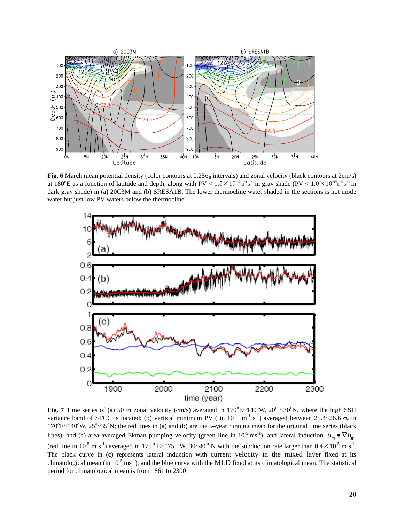

Fig. 6 March mean potential density (color contours at  $0.25\sigma_\theta$  intervals) and zonal velocity (black contours at 2cm/s) at 180<sup>o</sup>E as a function of latitude and depth, along with  $PV < 1.5 \times 10^{-10}$ m<sup>-1</sup>s<sup>-1</sup> in gray shade (PV <  $1.0 \times 10^{-10}$ m<sup>-1</sup>s<sup>-1</sup> in dark gray shade) in (a) 20C3M and (b) SRESA1B. The lower thermocline water shaded in the sections is not mode water but just low PV waters below the thermocline



**Fig. 7** Time series of (a) 50 m zonal velocity (cm/s) averaged in  $170^{\circ}E \sim 140^{\circ}W$ ,  $20^{\circ} \sim 30^{\circ}N$ , where the high SSH variance band of STCC is located; (b) vertical minimum PV ( in  $10^{-10}$  m<sup>-1</sup> s<sup>-1</sup>) averaged between 25.4~26.6  $\sigma_{\theta}$  in  $170^{\circ}E~140^{\circ}W$ ,  $25^{\circ}~35^{\circ}N$ ; the red lines in (a) and (b) are the 5-year running mean for the original time series (black lines); and (c) area-averaged Ekman pumping velocity (green line in 10<sup>-5</sup> ms<sup>-1</sup>), and lateral induction  $u_m \bullet \nabla h_m$ (red line in  $10^{-5}$  m s<sup>-1</sup>) averaged in 175<sup>°</sup> E~175<sup>°</sup> W, 30~40<sup>°</sup> N with the subduction rate larger than  $0.4 \times 10^{-5}$  m s<sup>-1</sup>. The black curve in (c) represents lateral induction with current velocity in the mixed layer fixed at its climatological mean (in  $10^{-5}$  ms<sup>-1</sup>), and the blue curve with the MLD fixed at its climatological mean. The statistical period for climatological mean is from 1861 to 2300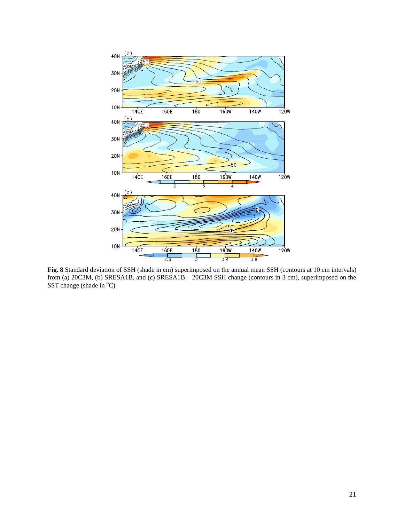

**Fig. 8** Standard deviation of SSH (shade in cm) superimposed on the annual mean SSH (contours at 10 cm intervals) from (a) 20C3M, (b) SRESA1B, and (c) SRESA1B – 20C3M SSH change (contours in 3 cm), superimposed on the SST change (shade in  $^{\circ}$ C)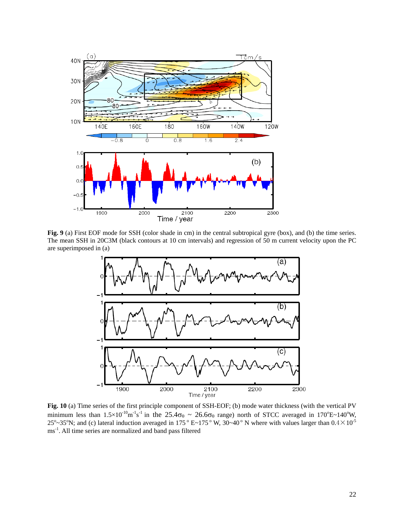

**Fig. 9** (a) First EOF mode for SSH (color shade in cm) in the central subtropical gyre (box), and (b) the time series. The mean SSH in 20C3M (black contours at 10 cm intervals) and regression of 50 m current velocity upon the PC are superimposed in (a)



**Fig. 10** (a) Time series of the first principle component of SSH-EOF; (b) mode water thickness (with the vertical PV minimum less than  $1.5 \times 10^{-10}$ m<sup>-1</sup>s<sup>-1</sup> in the  $25.4\sigma_\theta \sim 26.6\sigma_\theta$  range) north of STCC averaged in 170<sup>o</sup>E~140<sup>o</sup>W, 25<sup>o</sup> $\sim$ 35°N; and (c) lateral induction averaged in 175 ° E $\sim$ 175 ° W, 30 $\sim$ 40 ° N where with values larger than 0.4  $\times$  10<sup>-5</sup> ms-1. All time series are normalized and band pass filtered